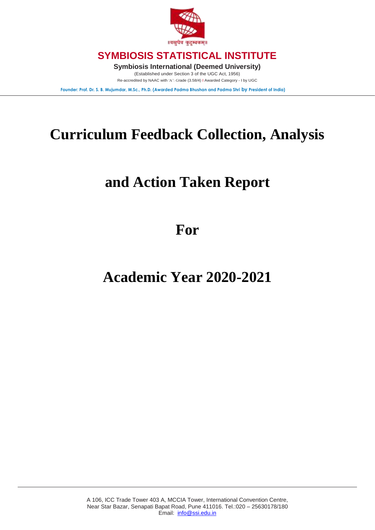

**Symbiosis International (Deemed University)**

(Established under Section 3 of the UGC Act, 1956) Re-accredited by NAAC with 'A': *G*rade (3.58/4) I Awarded Category - I by UGC

**Founder: Prof. Dr. S. B. Mujumdar, M.Sc., Ph.D. (Awarded Padma Bhushan and Padma Shri by President of India)**

# **Curriculum Feedback Collection, Analysis**

# **and Action Taken Report**

**For**

## **Academic Year 2020-2021**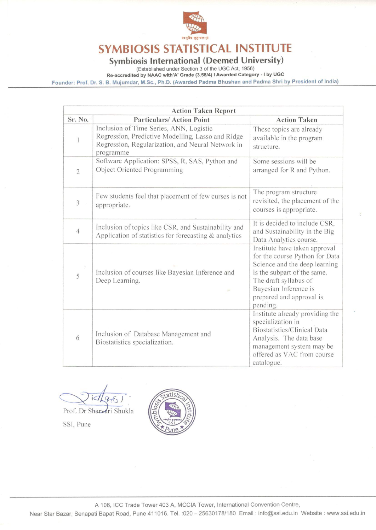

# Symbiosis International (Deemed University)<br>
(Established under Section 3 of the UGC Act, 1956)

Re-accredited by NAAC with'A' Grade (3.58/4) | Awarded Category - I by UGC

Founder: Prof. Dr. S. B. Mujumdar, M.Sc., Ph.D. (Awarded Padma Bhushan and Padma Shri by President of India)

| <b>Action Taken Report</b> |                                                                                                                                                                |                                                                                                                                                                                                                           |  |  |  |  |  |  |
|----------------------------|----------------------------------------------------------------------------------------------------------------------------------------------------------------|---------------------------------------------------------------------------------------------------------------------------------------------------------------------------------------------------------------------------|--|--|--|--|--|--|
| Sr. No.                    | <b>Particulars/Action Point</b>                                                                                                                                | <b>Action Taken</b>                                                                                                                                                                                                       |  |  |  |  |  |  |
| 1                          | Inclusion of Time Series, ANN, Logistic<br>Regression, Predictive Modelling, Lasso and Ridge<br>Regression, Regularization, and Neural Network in<br>programme | These topics are already<br>available in the program<br>structure.                                                                                                                                                        |  |  |  |  |  |  |
| $\overline{2}$             | Software Application: SPSS, R, SAS, Python and<br>Object Oriented Programming                                                                                  | Some sessions will be<br>arranged for R and Python.                                                                                                                                                                       |  |  |  |  |  |  |
| 3                          | Few students feel that placement of few curses is not<br>appropriate.                                                                                          | The program structure<br>revisited, the placement of the<br>courses is appropriate.                                                                                                                                       |  |  |  |  |  |  |
| $\overline{4}$             | Inclusion of topics like CSR, and Sustainability and<br>Application of statistics for forecasting $&$ analytics                                                | It is decided to include CSR,<br>and Sustainability in the Big<br>Data Analytics course.                                                                                                                                  |  |  |  |  |  |  |
| 5                          | Inclusion of courses like Bayesian Inference and<br>Deep Learning.<br>$\mathbb{R}^3$                                                                           | Institute have taken approval<br>for the course Python for Data<br>Science and the deep learning<br>is the subpart of the same.<br>The draft syllabus of<br>Bayesian Inference is<br>prepared and approval is<br>pending. |  |  |  |  |  |  |
| 6                          | Inclusion of Database Management and<br>Biostatistics specialization.                                                                                          | Institute already providing the<br>specialization in<br>Biostatistics/Clinical Data<br>Analysis. The data base<br>management system may be<br>offered as VAC from course<br>catalogue.                                    |  |  |  |  |  |  |

Prof. Dr Sharvari Shukla

SSI, Pune



A 106, ICC Trade Tower 403 A, MCCIA Tower, International Convention Centre,

Near Star Bazar, Senapati Bapat Road, Pune 411016. Tel. : 020 - 25630178/180 Email: info@ssi.edu.in Website: www.ssi.edu.in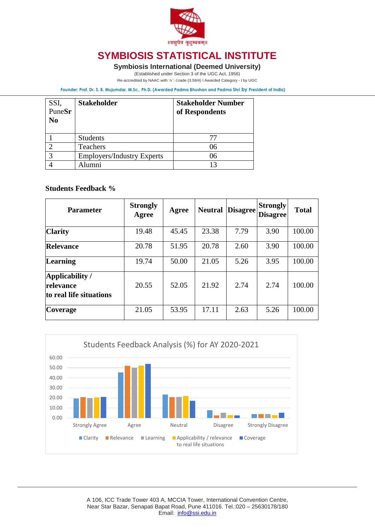

#### **Symbiosis International (Deemed University)**

(Established under Section 3 of the UGC Act, 1956)

Re-accredited by NAAC with 'A': *G*rade (3.58/4) I Awarded Category - I by UGC

**Founder: Prof. Dr. S. B. Mujumdar, M.Sc., Ph.D. (Awarded Padma Bhushan and Padma Shri by President of India)**

| SSI,<br>PuneSr<br>N <sub>0</sub> | <b>Stakeholder</b>                | <b>Stakeholder Number</b><br>of Respondents |
|----------------------------------|-----------------------------------|---------------------------------------------|
|                                  | <b>Students</b>                   | 77                                          |
|                                  | Teachers                          | 06                                          |
|                                  | <b>Employers/Industry Experts</b> | 06                                          |
|                                  | lumni                             |                                             |

#### **Students Feedback %**

| <b>Parameter</b>                                        | <b>Strongly</b><br>Agree | Agree | <b>Neutral</b> | <b>Disagree</b> | <b>Strongly</b><br><b>Disagree!</b> | <b>Total</b> |
|---------------------------------------------------------|--------------------------|-------|----------------|-----------------|-------------------------------------|--------------|
| <b>Clarity</b>                                          | 19.48                    | 45.45 | 23.38          | 7.79            | 3.90                                | 100.00       |
| <b>Relevance</b>                                        | 20.78                    | 51.95 | 20.78          | 2.60            | 3.90                                | 100.00       |
| <b>Learning</b>                                         | 19.74                    | 50.00 | 21.05          | 5.26            | 3.95                                | 100.00       |
| Applicability /<br>relevance<br>to real life situations | 20.55                    | 52.05 | 21.92          | 2.74            | 2.74                                | 100.00       |
| <b>Coverage</b>                                         | 21.05                    | 53.95 | 17.11          | 2.63            | 5.26                                | 100.00       |

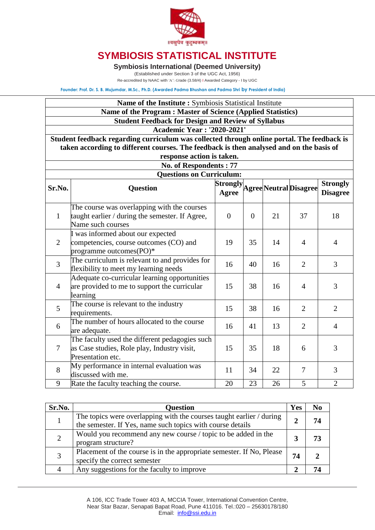

**Symbiosis International (Deemed University)**

(Established under Section 3 of the UGC Act, 1956)

Re-accredited by NAAC with 'A': *G*rade (3.58/4) I Awarded Category - I by UGC

**Founder: Prof. Dr. S. B. Mujumdar, M.Sc., Ph.D. (Awarded Padma Bhushan and Padma Shri by President of India)**

#### **Name of the Institute :** Symbiosis Statistical Institute

**Name of the Program : Master of Science (Applied Statistics)**

**Student Feedback for Design and Review of Syllabus**

**Academic Year : '2020-2021'**

**Student feedback regarding curriculum was collected through online portal. The feedback is taken according to different courses. The feedback is then analysed and on the basis of response action is taken.**

| response action is taken.                                                                                                            |                                                                                                                     |                |                |    |                                 |                                    |  |  |  |  |
|--------------------------------------------------------------------------------------------------------------------------------------|---------------------------------------------------------------------------------------------------------------------|----------------|----------------|----|---------------------------------|------------------------------------|--|--|--|--|
| No. of Respondents: 77                                                                                                               |                                                                                                                     |                |                |    |                                 |                                    |  |  |  |  |
| <b>Questions on Curriculum:</b>                                                                                                      |                                                                                                                     |                |                |    |                                 |                                    |  |  |  |  |
| Sr.No.                                                                                                                               | <b>Question</b>                                                                                                     | Agree          |                |    | Strongly Agree Neutral Disagree | <b>Strongly</b><br><b>Disagree</b> |  |  |  |  |
| $\mathbf{1}$                                                                                                                         | The course was overlapping with the courses<br>taught earlier / during the semester. If Agree,<br>Name such courses | $\overline{0}$ | $\overline{0}$ | 21 | 37                              | 18                                 |  |  |  |  |
| 2                                                                                                                                    | I was informed about our expected<br>competencies, course outcomes (CO) and<br>programme outcomes(PO)*              | 19             | 35             | 14 | $\overline{4}$                  | $\overline{4}$                     |  |  |  |  |
| $\overline{3}$                                                                                                                       | The curriculum is relevant to and provides for<br>flexibility to meet my learning needs                             | 16             | 40             | 16 | $\overline{2}$                  | 3                                  |  |  |  |  |
| $\overline{4}$                                                                                                                       | Adequate co-curricular learning opportunities<br>are provided to me to support the curricular<br>learning           |                | 38             | 16 | $\overline{4}$                  | 3                                  |  |  |  |  |
| $\overline{5}$                                                                                                                       | The course is relevant to the industry<br>requirements.                                                             | 15             | 38             | 16 | $\overline{2}$                  | $\overline{2}$                     |  |  |  |  |
| 6                                                                                                                                    | The number of hours allocated to the course<br>are adequate.                                                        | 16             | 41             | 13 | $\overline{2}$                  | $\overline{4}$                     |  |  |  |  |
| The faculty used the different pedagogies such<br>$\overline{7}$<br>as Case studies, Role play, Industry visit,<br>Presentation etc. |                                                                                                                     | 15             | 35             | 18 | 6                               | 3                                  |  |  |  |  |
| 8                                                                                                                                    | My performance in internal evaluation was<br>discussed with me.                                                     | 11             | 34             | 22 | $\overline{7}$                  | 3                                  |  |  |  |  |
| 9                                                                                                                                    | Rate the faculty teaching the course.                                                                               | 20             | 23             | 26 | 5                               | $\overline{2}$                     |  |  |  |  |

| Sr.No.         | <b>Question</b>                                                                                                                    | Yes         | No |
|----------------|------------------------------------------------------------------------------------------------------------------------------------|-------------|----|
|                | The topics were overlapping with the courses taught earlier / during<br>the semester. If Yes, name such topics with course details | $\mathbf 2$ | 74 |
| $\overline{2}$ | Would you recommend any new course / topic to be added in the<br>program structure?                                                |             |    |
| 3              | Placement of the course is in the appropriate semester. If No, Please<br>specify the correct semester                              | 74          |    |
|                | Any suggestions for the faculty to improve                                                                                         |             |    |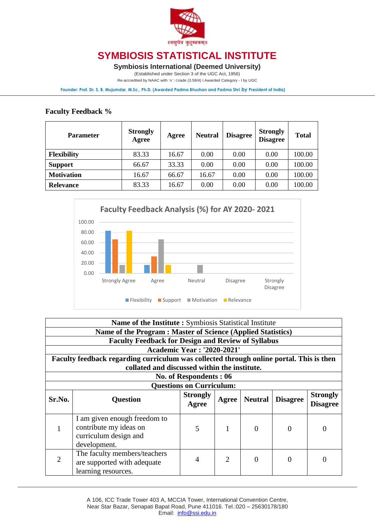

**Symbiosis International (Deemed University)**

(Established under Section 3 of the UGC Act, 1956)

Re-accredited by NAAC with 'A': *G*rade (3.58/4) I Awarded Category - I by UGC

**Founder: Prof. Dr. S. B. Mujumdar, M.Sc., Ph.D. (Awarded Padma Bhushan and Padma Shri by President of India)**

#### **Faculty Feedback %**

| <b>Parameter</b>   | <b>Strongly</b><br>Agree | Agree | <b>Neutral</b> | <b>Disagree</b> | <b>Strongly</b><br><b>Disagree</b> | <b>Total</b> |
|--------------------|--------------------------|-------|----------------|-----------------|------------------------------------|--------------|
| <b>Flexibility</b> | 83.33                    | 16.67 | 0.00           | 0.00            | 0.00                               | 100.00       |
| <b>Support</b>     | 66.67                    | 33.33 | 0.00           | 0.00            | 0.00                               | 100.00       |
| <b>Motivation</b>  | 16.67                    | 66.67 | 16.67          | 0.00            | 0.00                               | 100.00       |
| <b>Relevance</b>   | 83.33                    | 16.67 | 0.00           | 0.00            | 0.00                               | 100.00       |



|                | Name of the Institute: Symbiosis Statistical Institute                                          |                                   |                |                   |                 |                                    |  |  |
|----------------|-------------------------------------------------------------------------------------------------|-----------------------------------|----------------|-------------------|-----------------|------------------------------------|--|--|
|                | Name of the Program: Master of Science (Applied Statistics)                                     |                                   |                |                   |                 |                                    |  |  |
|                | <b>Faculty Feedback for Design and Review of Syllabus</b>                                       |                                   |                |                   |                 |                                    |  |  |
|                |                                                                                                 | <b>Academic Year: '2020-2021'</b> |                |                   |                 |                                    |  |  |
|                | Faculty feedback regarding curriculum was collected through online portal. This is then         |                                   |                |                   |                 |                                    |  |  |
|                | collated and discussed within the institute.                                                    |                                   |                |                   |                 |                                    |  |  |
|                |                                                                                                 | No. of Respondents: 06            |                |                   |                 |                                    |  |  |
|                |                                                                                                 | <b>Questions on Curriculum:</b>   |                |                   |                 |                                    |  |  |
| Sr.No.         | <b>Question</b>                                                                                 | <b>Strongly</b><br>Agree          | Agree          | <b>Neutral</b>    | <b>Disagree</b> | <b>Strongly</b><br><b>Disagree</b> |  |  |
| 1              | I am given enough freedom to<br>contribute my ideas on<br>curriculum design and<br>development. | 5                                 | 1              | $\Omega$          | $\Omega$        | 0                                  |  |  |
| $\overline{2}$ | The faculty members/teachers<br>are supported with adequate<br>learning resources.              | 4                                 | $\overline{2}$ | $\mathbf{\Omega}$ | $\Omega$        | 0                                  |  |  |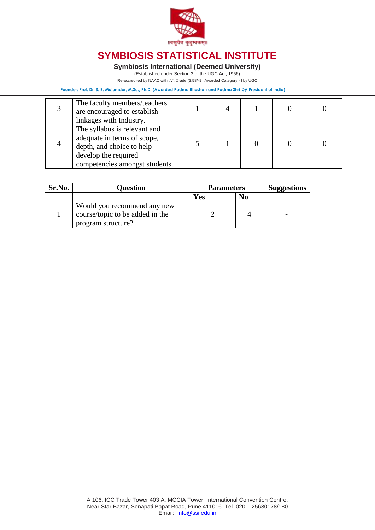

**Symbiosis International (Deemed University)**

(Established under Section 3 of the UGC Act, 1956)

Re-accredited by NAAC with 'A': *G*rade (3.58/4) I Awarded Category - I by UGC

**Founder: Prof. Dr. S. B. Mujumdar, M.Sc., Ph.D. (Awarded Padma Bhushan and Padma Shri by President of India)**

| The faculty members/teachers<br>are encouraged to establish<br>linkages with Industry.                                                             |  |  |  |
|----------------------------------------------------------------------------------------------------------------------------------------------------|--|--|--|
| The syllabus is relevant and<br>adequate in terms of scope,<br>depth, and choice to help<br>develop the required<br>competencies amongst students. |  |  |  |

| Sr.No. | <b>Ouestion</b>                                                                      | <b>Parameters</b> |                | <b>Suggestions</b> |
|--------|--------------------------------------------------------------------------------------|-------------------|----------------|--------------------|
|        |                                                                                      | Yes               | N <sub>0</sub> |                    |
|        | Would you recommend any new<br>course/topic to be added in the<br>program structure? |                   |                |                    |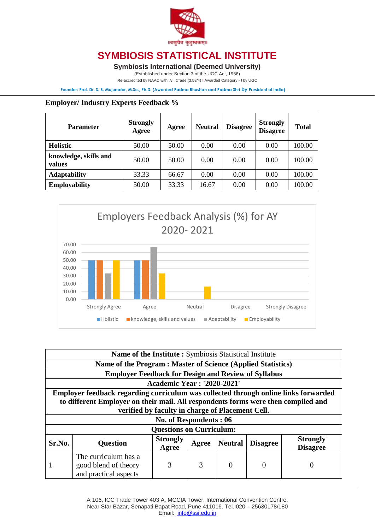

**Symbiosis International (Deemed University)**

(Established under Section 3 of the UGC Act, 1956)

Re-accredited by NAAC with 'A': *G*rade (3.58/4) I Awarded Category - I by UGC

**Founder: Prof. Dr. S. B. Mujumdar, M.Sc., Ph.D. (Awarded Padma Bhushan and Padma Shri by President of India)**

#### **Employer/ Industry Experts Feedback %**

| <b>Parameter</b>                | <b>Strongly</b><br>Agree | Agree | <b>Neutral</b> | <b>Disagree</b> | <b>Strongly</b><br><b>Disagree</b> | <b>Total</b> |
|---------------------------------|--------------------------|-------|----------------|-----------------|------------------------------------|--------------|
| <b>Holistic</b>                 | 50.00                    | 50.00 | 0.00           | 0.00            | 0.00                               | 100.00       |
| knowledge, skills and<br>values | 50.00                    | 50.00 | 0.00           | 0.00            | 0.00                               | 100.00       |
| <b>Adaptability</b>             | 33.33                    | 66.67 | 0.00           | 0.00            | 0.00                               | 100.00       |
| <b>Employability</b>            | 50.00                    | 33.33 | 16.67          | 0.00            | 0.00                               | 100.00       |



|        | <b>Name of the Institute:</b> Symbiosis Statistical Institute                       |                                                  |       |                |                 |                  |  |  |
|--------|-------------------------------------------------------------------------------------|--------------------------------------------------|-------|----------------|-----------------|------------------|--|--|
|        | Name of the Program : Master of Science (Applied Statistics)                        |                                                  |       |                |                 |                  |  |  |
|        | <b>Employer Feedback for Design and Review of Syllabus</b>                          |                                                  |       |                |                 |                  |  |  |
|        |                                                                                     | <b>Academic Year: '2020-2021'</b>                |       |                |                 |                  |  |  |
|        | Employer feedback regarding curriculum was collected through online links forwarded |                                                  |       |                |                 |                  |  |  |
|        | to different Employer on their mail. All respondents forms were then compiled and   |                                                  |       |                |                 |                  |  |  |
|        |                                                                                     | verified by faculty in charge of Placement Cell. |       |                |                 |                  |  |  |
|        |                                                                                     | No. of Respondents: 06                           |       |                |                 |                  |  |  |
|        |                                                                                     | <b>Questions on Curriculum:</b>                  |       |                |                 |                  |  |  |
| Sr.No. | <b>Question</b>                                                                     | <b>Strongly</b>                                  | Agree | <b>Neutral</b> | <b>Disagree</b> | <b>Strongly</b>  |  |  |
|        |                                                                                     | Agree                                            |       |                |                 | <b>Disagree</b>  |  |  |
|        | The curriculum has a                                                                |                                                  |       |                |                 |                  |  |  |
|        | good blend of theory                                                                | 3                                                | 3     | $\Omega$       | $\Omega$        | $\left( \right)$ |  |  |
|        | and practical aspects                                                               |                                                  |       |                |                 |                  |  |  |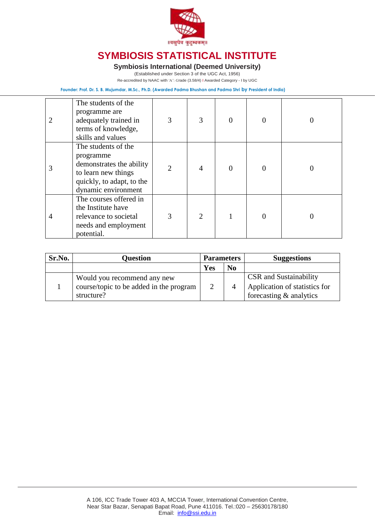

**Symbiosis International (Deemed University)**

(Established under Section 3 of the UGC Act, 1956)

Re-accredited by NAAC with 'A': *G*rade (3.58/4) I Awarded Category - I by UGC

**Founder: Prof. Dr. S. B. Mujumdar, M.Sc., Ph.D. (Awarded Padma Bhushan and Padma Shri by President of India)**

|   | The students of the<br>programme are<br>adequately trained in<br>terms of knowledge,<br>skills and values                               | 3              | 3              | $\Omega$ | $\Omega$ |  |
|---|-----------------------------------------------------------------------------------------------------------------------------------------|----------------|----------------|----------|----------|--|
| 3 | The students of the<br>programme<br>demonstrates the ability<br>to learn new things<br>quickly, to adapt, to the<br>dynamic environment | $\overline{2}$ | $\overline{4}$ | $\Omega$ | $\theta$ |  |
| 4 | The courses offered in<br>the Institute have<br>relevance to societal<br>needs and employment<br>potential.                             | 3              | 2              |          |          |  |

| Sr.No. | <b>Ouestion</b>                         | <b>Parameters</b> |                | <b>Suggestions</b>            |
|--------|-----------------------------------------|-------------------|----------------|-------------------------------|
|        |                                         | Yes               | N <sub>0</sub> |                               |
|        | Would you recommend any new             |                   |                | <b>CSR</b> and Sustainability |
|        | course/topic to be added in the program | $\mathcal{D}$     |                | Application of statistics for |
|        | structure?                              |                   |                | forecasting & analytics       |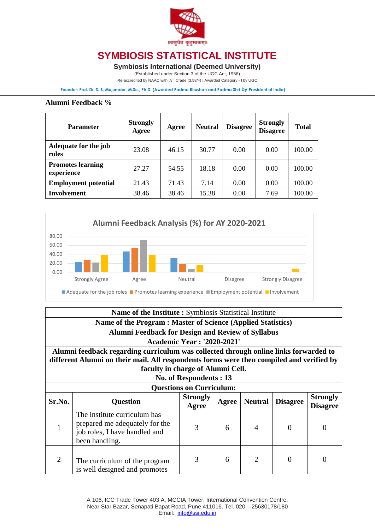

**Symbiosis International (Deemed University)**

(Established under Section 3 of the UGC Act, 1956)

Re-accredited by NAAC with 'A': *G*rade (3.58/4) I Awarded Category - I by UGC

**Founder: Prof. Dr. S. B. Mujumdar, M.Sc., Ph.D. (Awarded Padma Bhushan and Padma Shri by President of India)**

#### **Alumni Feedback %**

| <b>Parameter</b>                       | <b>Strongly</b><br>Agree | Agree | <b>Neutral</b> | <b>Disagree</b> | <b>Strongly</b><br><b>Disagree</b> | <b>Total</b> |
|----------------------------------------|--------------------------|-------|----------------|-----------------|------------------------------------|--------------|
| Adequate for the job<br>roles          | 23.08                    | 46.15 | 30.77          | 0.00            | 0.00                               | 100.00       |
| <b>Promotes learning</b><br>experience | 27.27                    | 54.55 | 18.18          | 0.00            | 0.00                               | 100.00       |
| <b>Employment potential</b>            | 21.43                    | 71.43 | 7.14           | 0.00            | 0.00                               | 100.00       |
| <b>Involvement</b>                     | 38.46                    | 38.46 | 15.38          | 0.00            | 7.69                               | 100.00       |



| Name of the Institute: Symbiosis Statistical Institute                                   |                                                                                                                   |                          |       |                             |                 |                                    |  |
|------------------------------------------------------------------------------------------|-------------------------------------------------------------------------------------------------------------------|--------------------------|-------|-----------------------------|-----------------|------------------------------------|--|
| Name of the Program : Master of Science (Applied Statistics)                             |                                                                                                                   |                          |       |                             |                 |                                    |  |
| <b>Alumni Feedback for Design and Review of Syllabus</b>                                 |                                                                                                                   |                          |       |                             |                 |                                    |  |
|                                                                                          | <b>Academic Year: '2020-2021'</b>                                                                                 |                          |       |                             |                 |                                    |  |
| Alumni feedback regarding curriculum was collected through online links forwarded to     |                                                                                                                   |                          |       |                             |                 |                                    |  |
| different Alumni on their mail. All respondents forms were then compiled and verified by |                                                                                                                   |                          |       |                             |                 |                                    |  |
| faculty in charge of Alumni Cell.                                                        |                                                                                                                   |                          |       |                             |                 |                                    |  |
| No. of Respondents: 13                                                                   |                                                                                                                   |                          |       |                             |                 |                                    |  |
| <b>Questions on Curriculum:</b>                                                          |                                                                                                                   |                          |       |                             |                 |                                    |  |
| Sr.No.                                                                                   | <b>Question</b>                                                                                                   | <b>Strongly</b><br>Agree | Agree | <b>Neutral</b>              | <b>Disagree</b> | <b>Strongly</b><br><b>Disagree</b> |  |
|                                                                                          | The institute curriculum has<br>prepared me adequately for the<br>job roles, I have handled and<br>been handling. | 3                        | 6     | $\overline{A}$              | $\Omega$        | $\theta$                           |  |
| $\overline{2}$                                                                           | The curriculum of the program<br>is well designed and promotes                                                    | 3                        | 6     | $\mathcal{D}_{\mathcal{L}}$ | $\Omega$        | 0                                  |  |